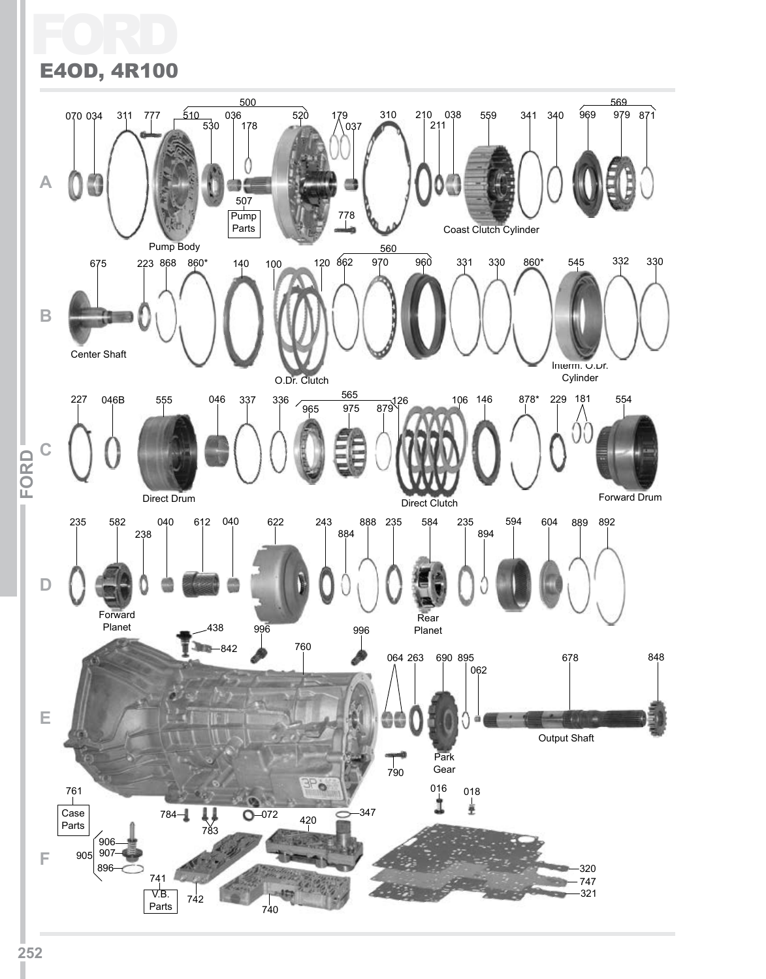## Ford E4OD, 4R100

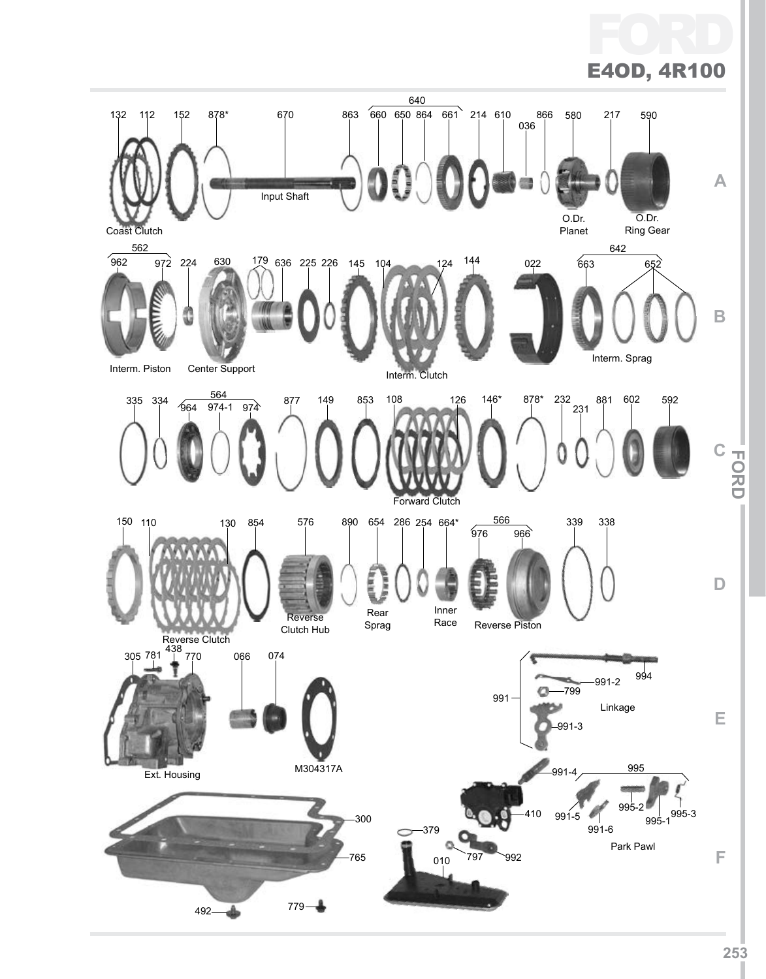FC E4OD, 4R100 640 132 112 152 878\* 670 863 660 650 864 661 214 610 866 580 217 590 036 **A** Input Shaft O.Dr. O.Dr. Planet Coast Clutch Ring Gear 562 642 962 972 224 630 179 636 225 226 145 104 124 144 022 663 652 **B** Interm. Sprag Interm. Piston Center Support Interm. Clutch  $\frac{564}{274.4 \cdot 27}$  877 149 853 108 126 146\* 878\* 232 335 334 881 602 592 231 964 974 974-1 **C IFor dI** Forward Clutch 566 339 338 150 110 130 854 576 890 654 286 254 664\* 976 966 Ē **D** Inner<br>Race Rear Reverse Sprag Reverse Piston Clutch Hub Reverse Clutch<br>438<br>770 305 781 <sup>138</sup> 770 066 074 -991-2 <sup>994</sup> 799 991 Linkage **E**  $91-3$ n M304317A 995 Ext. Housing 995-2  $\bigcup_{995-3}$ 410 991-5 300 995-1 991-6 379 Park Pawl **F** 765 797 992 010 779 492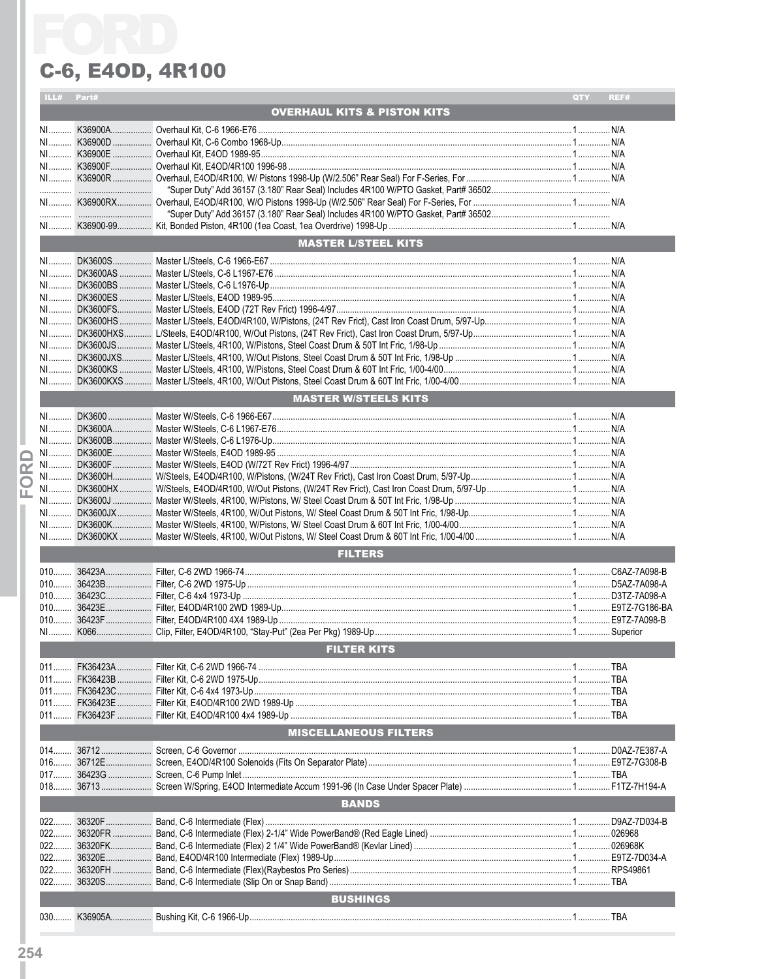|                         | ILL# Part# |                                        | QTY | REF# |
|-------------------------|------------|----------------------------------------|-----|------|
|                         |            | <b>OVERHAUL KITS &amp; PISTON KITS</b> |     |      |
|                         |            |                                        |     |      |
|                         |            |                                        |     |      |
|                         |            |                                        |     |      |
|                         |            |                                        |     |      |
|                         |            |                                        |     |      |
|                         |            |                                        |     |      |
|                         |            |                                        |     |      |
|                         |            |                                        |     |      |
|                         |            |                                        |     |      |
|                         |            |                                        |     |      |
|                         |            |                                        |     |      |
|                         |            | <b>MASTER L/STEEL KITS</b>             |     |      |
|                         |            |                                        |     |      |
|                         |            |                                        |     |      |
|                         |            |                                        |     |      |
|                         |            |                                        |     |      |
|                         |            |                                        |     |      |
|                         |            |                                        |     |      |
|                         |            |                                        |     |      |
|                         |            |                                        |     |      |
|                         |            |                                        |     |      |
|                         |            |                                        |     |      |
|                         |            |                                        |     |      |
|                         |            |                                        |     |      |
|                         |            |                                        |     |      |
|                         |            | <b>MASTER W/STEELS KITS</b>            |     |      |
|                         |            |                                        |     |      |
|                         |            |                                        |     |      |
|                         |            |                                        |     |      |
|                         |            |                                        |     |      |
|                         |            |                                        |     |      |
| $\overline{\mathbf{r}}$ |            |                                        |     |      |
| O                       |            |                                        |     |      |
| Ш.                      |            |                                        |     |      |
|                         |            |                                        |     |      |
|                         |            |                                        |     |      |
|                         |            |                                        |     |      |
|                         |            |                                        |     |      |
|                         |            | <b>FILTERS</b>                         |     |      |
|                         |            |                                        |     |      |
|                         |            |                                        |     |      |
|                         |            |                                        |     |      |
|                         |            |                                        |     |      |
|                         |            |                                        |     |      |
|                         |            |                                        |     |      |
|                         | $N1$       |                                        |     |      |
|                         |            |                                        |     |      |
|                         |            | <b>FILTER KITS</b>                     |     |      |
|                         |            |                                        |     |      |
|                         |            |                                        |     |      |
|                         |            |                                        |     |      |
|                         |            |                                        |     |      |
|                         |            |                                        |     |      |
|                         |            |                                        |     |      |
|                         |            | <b>MISCELLANEOUS FILTERS</b>           |     |      |
|                         |            |                                        |     |      |
|                         |            |                                        |     |      |
|                         |            |                                        |     |      |
|                         |            |                                        |     |      |
|                         |            |                                        |     |      |
|                         |            | <b>BANDS</b>                           |     |      |
|                         | $022$      |                                        |     |      |
|                         |            |                                        |     |      |
|                         | $022$      |                                        |     |      |
|                         |            |                                        |     |      |
|                         |            |                                        |     |      |
|                         |            |                                        |     |      |
|                         | $022$      |                                        |     |      |
|                         |            | <b>BUSHINGS</b>                        |     |      |
|                         |            |                                        |     |      |
|                         |            |                                        |     |      |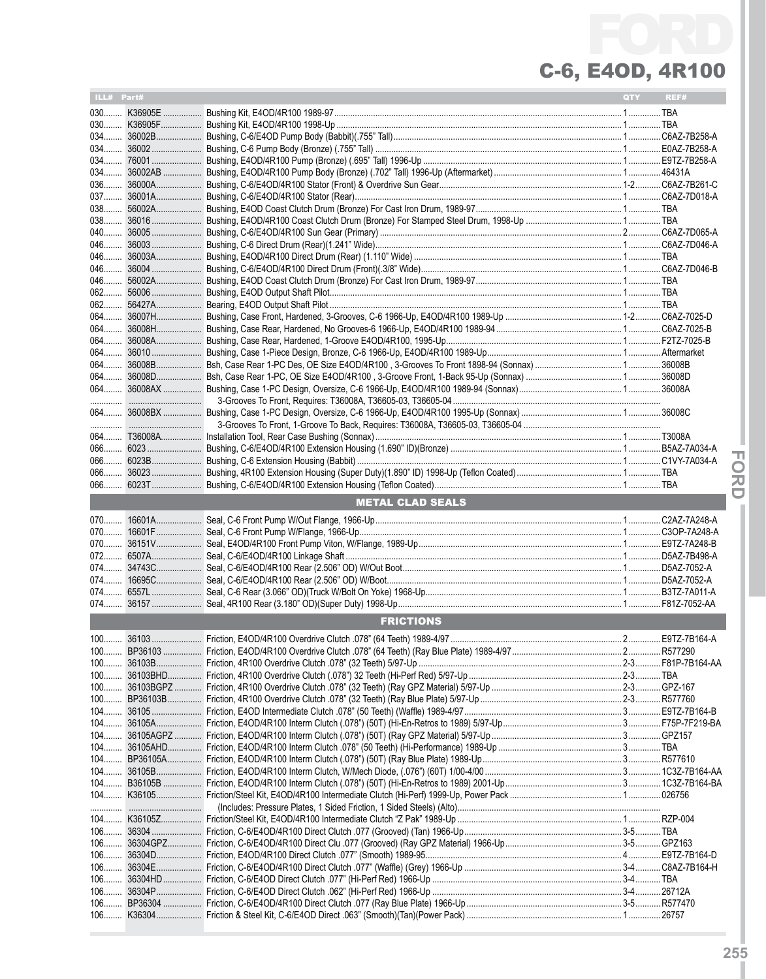| ILL# Part# |                         | QTY <b>C</b> | REF# |
|------------|-------------------------|--------------|------|
|            |                         |              |      |
|            |                         |              |      |
|            |                         |              |      |
|            |                         |              |      |
|            |                         |              |      |
| 034        |                         |              |      |
|            |                         |              |      |
|            |                         |              |      |
|            |                         |              |      |
|            |                         |              |      |
| 040        |                         |              |      |
|            |                         |              |      |
| 046        |                         |              |      |
|            |                         |              |      |
| $062$      |                         |              |      |
|            |                         |              |      |
| 064        |                         |              |      |
|            |                         |              |      |
|            |                         |              |      |
|            |                         |              |      |
|            |                         |              |      |
|            |                         |              |      |
|            |                         |              |      |
|            |                         |              |      |
|            |                         |              |      |
|            |                         |              |      |
|            |                         |              |      |
|            |                         |              |      |
|            |                         |              |      |
| 066        |                         |              |      |
|            |                         |              |      |
|            | <b>METAL CLAD SEALS</b> |              |      |
|            |                         |              |      |
|            |                         |              |      |
|            |                         |              |      |
|            |                         |              |      |
|            |                         |              |      |
|            |                         |              |      |
|            |                         |              |      |
|            |                         |              |      |
|            | <b>FRICTIONS</b>        |              |      |
|            |                         |              |      |
|            |                         |              |      |
|            |                         |              |      |
|            |                         |              |      |
|            |                         |              |      |
|            |                         |              |      |
|            |                         |              |      |
|            |                         |              |      |
|            |                         |              |      |
|            |                         |              |      |
|            |                         |              |      |
|            |                         |              |      |
|            |                         |              |      |
|            |                         |              |      |
|            |                         |              |      |
|            |                         |              |      |
|            |                         |              |      |
|            |                         |              |      |
|            |                         |              |      |
|            |                         |              |      |
|            |                         |              |      |
|            |                         |              |      |
|            |                         |              |      |

**IFor dI**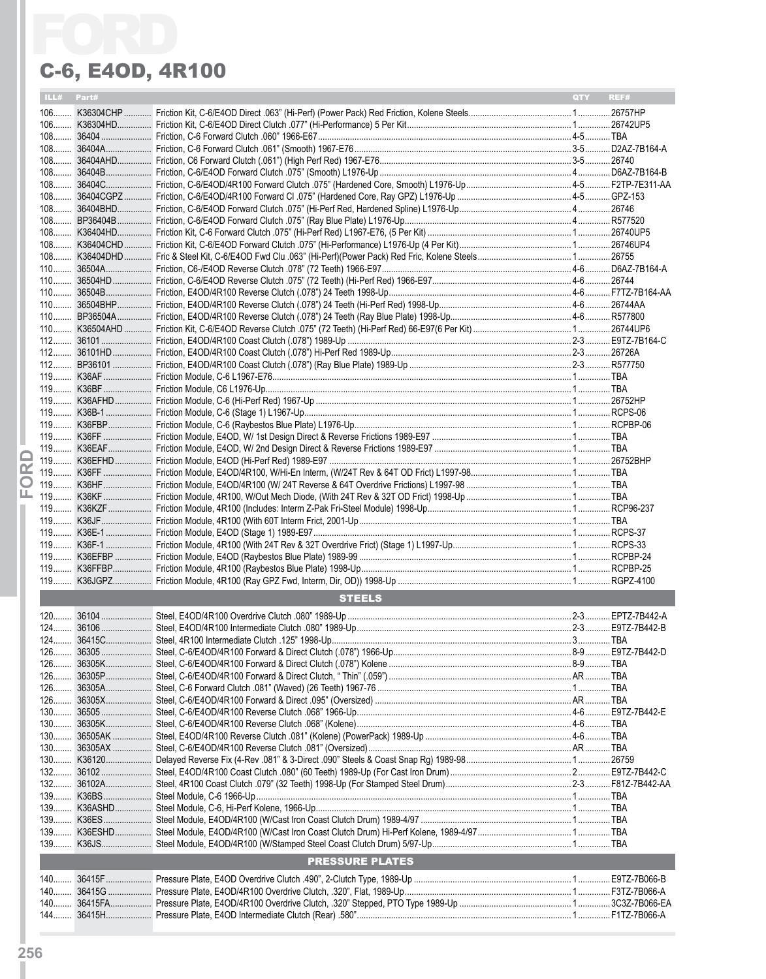|            | C-6, E40D, 4R100       |     |      |
|------------|------------------------|-----|------|
| ILL# Part# |                        | QTY | REF# |
|            |                        |     |      |
|            |                        |     |      |
|            |                        |     |      |
|            |                        |     |      |
|            |                        |     |      |
|            |                        |     |      |
|            |                        |     |      |
|            |                        |     |      |
|            |                        |     |      |
|            |                        |     |      |
|            |                        |     |      |
|            |                        |     |      |
|            |                        |     |      |
|            |                        |     |      |
|            |                        |     |      |
|            |                        |     |      |
|            |                        |     |      |
|            |                        |     |      |
|            |                        |     |      |
|            |                        |     |      |
|            |                        |     |      |
|            |                        |     |      |
|            |                        |     |      |
|            |                        |     |      |
|            |                        |     |      |
|            |                        |     |      |
|            |                        |     |      |
|            |                        |     |      |
|            |                        |     |      |
|            |                        |     |      |
|            |                        |     |      |
|            |                        |     |      |
|            |                        |     |      |
|            |                        |     |      |
|            |                        |     |      |
|            |                        |     |      |
|            |                        |     |      |
|            | <b>STEELS</b>          |     |      |
|            |                        |     |      |
|            |                        |     |      |
|            |                        |     |      |
|            |                        |     |      |
|            |                        |     |      |
|            |                        |     |      |
|            |                        |     |      |
|            |                        |     |      |
|            |                        |     |      |
|            |                        |     |      |
|            |                        |     |      |
|            |                        |     |      |
|            |                        |     |      |
|            |                        |     |      |
|            |                        |     |      |
|            |                        |     |      |
|            |                        |     |      |
|            |                        |     |      |
|            | <b>PRESSURE PLATES</b> |     |      |
| $140$      |                        |     |      |
| $140$      |                        |     |      |
|            |                        |     |      |
|            |                        |     |      |
|            |                        |     |      |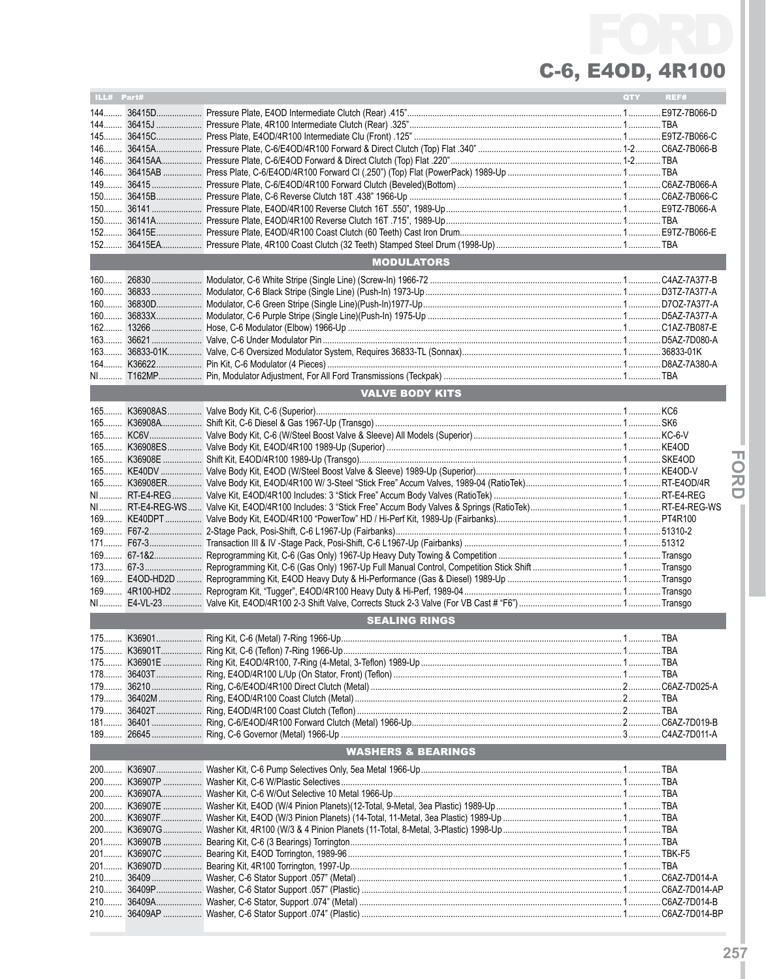| ILL# Part# |                               | QTY | REF# |
|------------|-------------------------------|-----|------|
|            |                               |     |      |
|            |                               |     |      |
|            |                               |     |      |
|            |                               |     |      |
|            |                               |     |      |
|            |                               |     |      |
|            |                               |     |      |
|            |                               |     |      |
|            |                               |     |      |
|            |                               |     |      |
|            |                               |     |      |
|            |                               |     |      |
|            |                               |     |      |
|            | <b>MODULATORS</b>             |     |      |
|            |                               |     |      |
|            |                               |     |      |
|            |                               |     |      |
|            |                               |     |      |
|            |                               |     |      |
|            |                               |     |      |
|            |                               |     |      |
|            |                               |     |      |
|            |                               |     |      |
|            |                               |     |      |
|            |                               |     |      |
|            | <b>VALVE BODY KITS</b>        |     |      |
|            |                               |     |      |
|            |                               |     |      |
|            |                               |     |      |
|            |                               |     |      |
|            |                               |     |      |
|            |                               |     |      |
|            |                               |     |      |
|            |                               |     |      |
|            |                               |     |      |
|            |                               |     |      |
|            |                               |     |      |
|            |                               |     |      |
|            |                               |     |      |
|            |                               |     |      |
|            |                               |     |      |
|            |                               |     |      |
|            |                               |     |      |
|            |                               |     |      |
|            |                               |     |      |
|            |                               |     |      |
|            | <b>SEALING RINGS</b>          |     |      |
|            |                               |     |      |
|            |                               |     |      |
|            |                               |     |      |
|            |                               |     |      |
|            |                               |     |      |
|            |                               |     |      |
|            |                               |     |      |
|            |                               |     |      |
|            |                               |     |      |
|            |                               |     |      |
|            | <b>WASHERS &amp; BEARINGS</b> |     |      |
|            |                               |     |      |
|            |                               |     |      |
|            |                               |     |      |
|            |                               |     |      |
|            |                               |     |      |
|            |                               |     |      |
|            |                               |     |      |
|            |                               |     |      |
|            |                               |     |      |
|            |                               |     |      |
|            |                               |     |      |
|            |                               |     |      |
|            |                               |     |      |
|            |                               |     |      |
| 210        |                               |     |      |
|            |                               |     |      |

**IFor dI**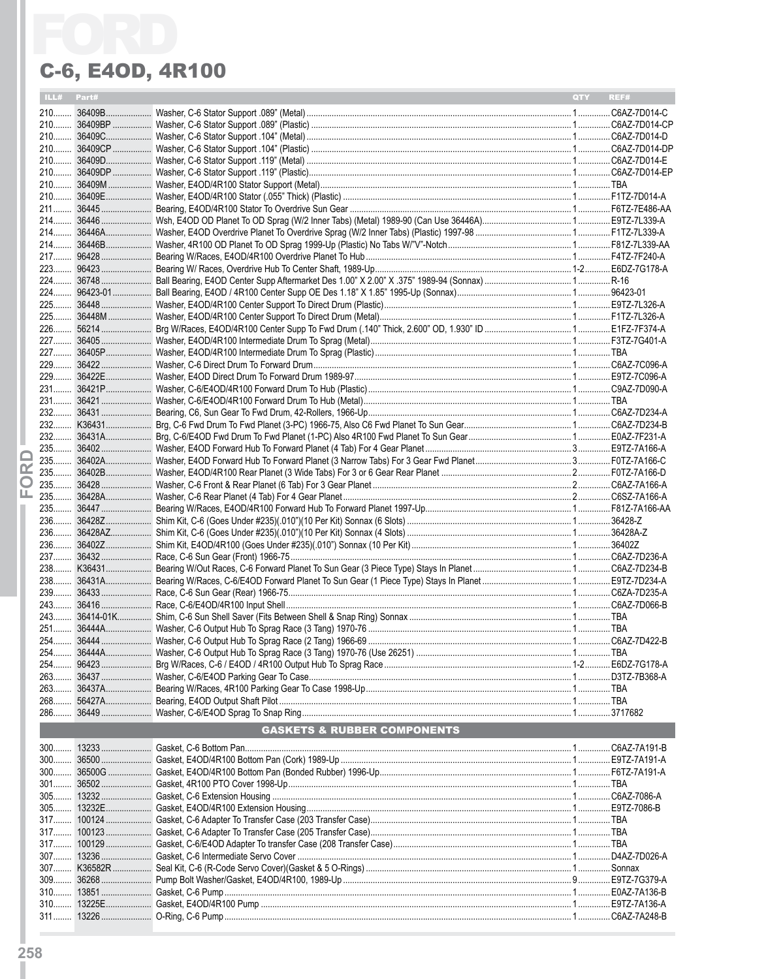|   | ILL# Part# |                                        | QTY REF# |  |
|---|------------|----------------------------------------|----------|--|
|   |            |                                        |          |  |
|   |            |                                        |          |  |
|   |            |                                        |          |  |
|   |            |                                        |          |  |
|   |            |                                        |          |  |
|   |            |                                        |          |  |
|   |            |                                        |          |  |
|   |            |                                        |          |  |
|   |            |                                        |          |  |
|   |            |                                        |          |  |
|   |            |                                        |          |  |
|   |            |                                        |          |  |
|   |            |                                        |          |  |
|   |            |                                        |          |  |
|   |            |                                        |          |  |
|   |            |                                        |          |  |
|   |            |                                        |          |  |
|   |            |                                        |          |  |
|   |            |                                        |          |  |
|   |            |                                        |          |  |
|   |            |                                        |          |  |
|   |            |                                        |          |  |
|   |            |                                        |          |  |
|   |            |                                        |          |  |
|   |            |                                        |          |  |
|   |            |                                        |          |  |
|   |            |                                        |          |  |
|   |            |                                        |          |  |
| ≃ |            |                                        |          |  |
| O |            |                                        |          |  |
| ட |            |                                        |          |  |
|   |            |                                        |          |  |
|   |            |                                        |          |  |
|   |            |                                        |          |  |
|   |            |                                        |          |  |
|   |            |                                        |          |  |
|   |            |                                        |          |  |
|   |            |                                        |          |  |
|   |            |                                        |          |  |
|   |            |                                        |          |  |
|   |            |                                        |          |  |
|   |            |                                        |          |  |
|   |            |                                        |          |  |
|   |            |                                        |          |  |
|   |            |                                        |          |  |
|   |            |                                        |          |  |
|   |            |                                        |          |  |
|   |            |                                        |          |  |
|   |            | <b>GASKETS &amp; RUBBER COMPONENTS</b> |          |  |
|   |            |                                        |          |  |
|   |            |                                        |          |  |
|   |            |                                        |          |  |
|   |            |                                        |          |  |
|   |            |                                        |          |  |
|   |            |                                        |          |  |
|   |            |                                        |          |  |
|   |            |                                        |          |  |
|   |            |                                        |          |  |
|   |            |                                        |          |  |
|   |            |                                        |          |  |
|   |            |                                        |          |  |
|   |            |                                        |          |  |
|   |            |                                        |          |  |
|   |            |                                        |          |  |
|   |            |                                        |          |  |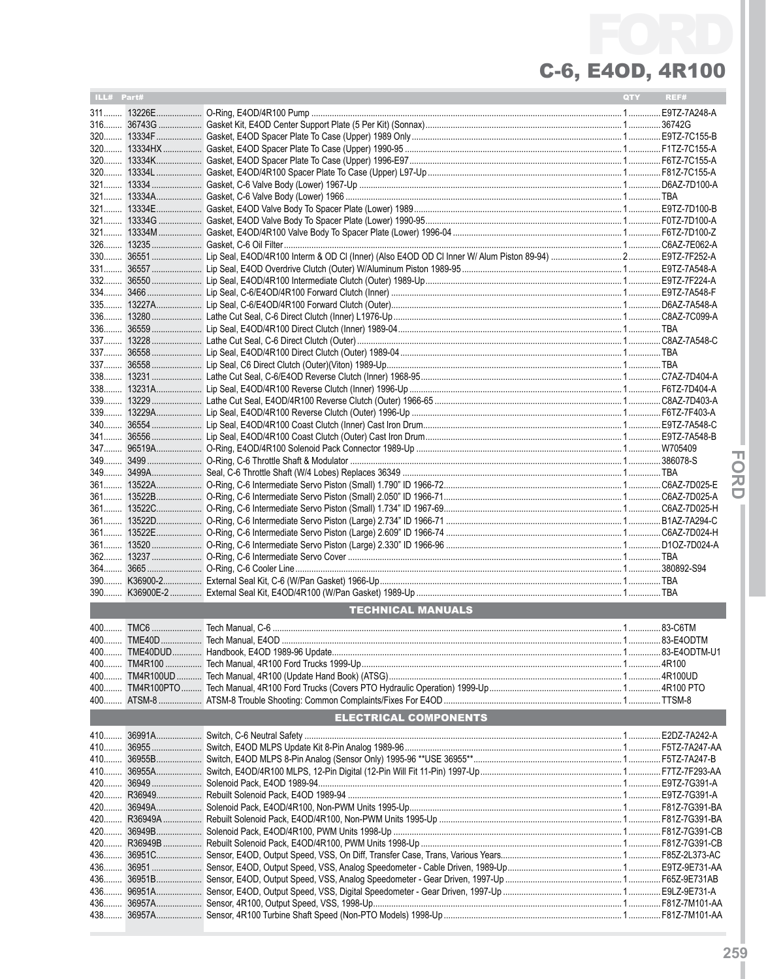| ILL# Part# |                                                                               | QTY <b>A</b> | REF# |
|------------|-------------------------------------------------------------------------------|--------------|------|
|            |                                                                               |              |      |
|            |                                                                               |              |      |
|            |                                                                               |              |      |
|            |                                                                               |              |      |
|            |                                                                               |              |      |
|            |                                                                               |              |      |
|            |                                                                               |              |      |
|            |                                                                               |              |      |
|            |                                                                               |              |      |
|            |                                                                               |              |      |
|            |                                                                               |              |      |
|            |                                                                               |              |      |
|            |                                                                               |              |      |
|            |                                                                               |              |      |
|            |                                                                               |              |      |
|            |                                                                               |              |      |
|            |                                                                               |              |      |
|            |                                                                               |              |      |
|            |                                                                               |              |      |
|            |                                                                               |              |      |
|            |                                                                               |              |      |
|            |                                                                               |              |      |
|            |                                                                               |              |      |
|            |                                                                               |              |      |
|            |                                                                               |              |      |
|            |                                                                               |              |      |
|            |                                                                               |              |      |
|            |                                                                               |              |      |
|            |                                                                               |              |      |
|            |                                                                               |              |      |
|            |                                                                               |              |      |
|            |                                                                               |              |      |
|            |                                                                               |              |      |
|            |                                                                               |              |      |
|            |                                                                               |              |      |
|            |                                                                               |              |      |
|            |                                                                               |              |      |
|            |                                                                               |              |      |
|            |                                                                               |              |      |
|            |                                                                               |              |      |
|            |                                                                               |              |      |
|            | <b>TECHNICAL MANUALS</b><br><u> 1989 - Johann Barnett, fransk politiker (</u> |              |      |
|            |                                                                               |              |      |
|            |                                                                               |              |      |
|            |                                                                               |              |      |
|            |                                                                               |              |      |
|            |                                                                               |              |      |
|            |                                                                               |              |      |
|            |                                                                               |              |      |
|            | <b>ELECTRICAL COMPONENTS</b>                                                  |              |      |
|            |                                                                               |              |      |
|            |                                                                               |              |      |
|            |                                                                               |              |      |
|            |                                                                               |              |      |
|            |                                                                               |              |      |
|            |                                                                               |              |      |
|            |                                                                               |              |      |
|            |                                                                               |              |      |
|            |                                                                               |              |      |
|            |                                                                               |              |      |
|            |                                                                               |              |      |
|            |                                                                               |              |      |
|            |                                                                               |              |      |
| 436        |                                                                               |              |      |
|            |                                                                               |              |      |
|            |                                                                               |              |      |
|            |                                                                               |              |      |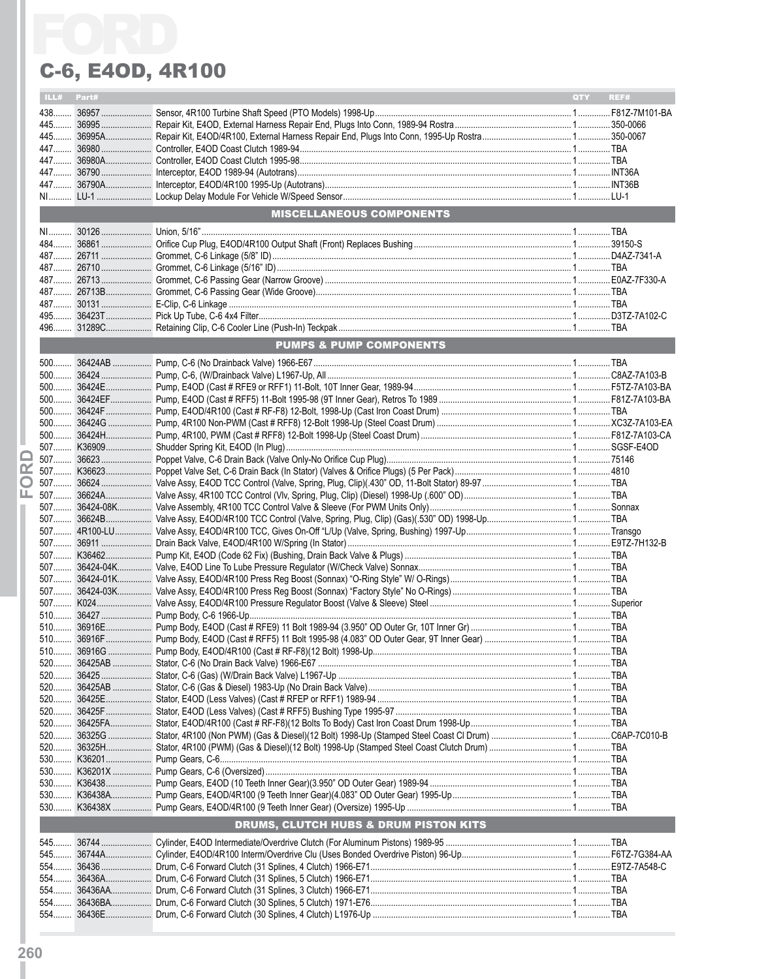|   |            | C-6, E40D, 4R100                                 |     |      |
|---|------------|--------------------------------------------------|-----|------|
|   | ILL# Part# |                                                  | QTY | REF# |
|   |            |                                                  |     |      |
|   |            |                                                  |     |      |
|   |            |                                                  |     |      |
|   |            |                                                  |     |      |
|   |            |                                                  |     |      |
|   |            |                                                  |     |      |
|   |            |                                                  |     |      |
|   |            | <b>MISCELLANEOUS COMPONENTS</b>                  |     |      |
|   |            |                                                  |     |      |
|   |            |                                                  |     |      |
|   |            |                                                  |     |      |
|   |            |                                                  |     |      |
|   |            |                                                  |     |      |
|   |            |                                                  |     |      |
|   |            |                                                  |     |      |
|   |            |                                                  |     |      |
|   |            |                                                  |     |      |
|   |            | <b>PUMPS &amp; PUMP COMPONENTS</b>               |     |      |
|   |            |                                                  |     |      |
|   |            |                                                  |     |      |
|   |            |                                                  |     |      |
|   |            |                                                  |     |      |
|   |            |                                                  |     |      |
|   |            |                                                  |     |      |
|   |            |                                                  |     |      |
|   |            |                                                  |     |      |
| œ |            |                                                  |     |      |
| O |            |                                                  |     |      |
| ட |            |                                                  |     |      |
|   |            |                                                  |     |      |
|   |            |                                                  |     |      |
|   |            |                                                  |     |      |
|   |            |                                                  |     |      |
|   |            |                                                  |     |      |
|   |            |                                                  |     |      |
|   |            |                                                  |     |      |
|   |            |                                                  |     |      |
|   |            |                                                  |     |      |
|   |            |                                                  |     |      |
|   |            |                                                  |     |      |
|   |            |                                                  |     |      |
|   |            |                                                  |     |      |
|   |            |                                                  |     |      |
|   |            |                                                  |     |      |
|   |            |                                                  |     |      |
|   |            |                                                  |     |      |
|   |            |                                                  |     |      |
|   |            |                                                  |     |      |
|   |            |                                                  |     |      |
|   |            |                                                  |     |      |
|   |            |                                                  |     |      |
|   |            |                                                  |     |      |
|   |            | <b>DRUMS, CLUTCH HUBS &amp; DRUM PISTON KITS</b> |     |      |
|   |            |                                                  |     |      |
|   |            |                                                  |     |      |
|   |            |                                                  |     |      |
|   |            |                                                  |     |      |
|   |            |                                                  |     |      |
|   |            |                                                  |     |      |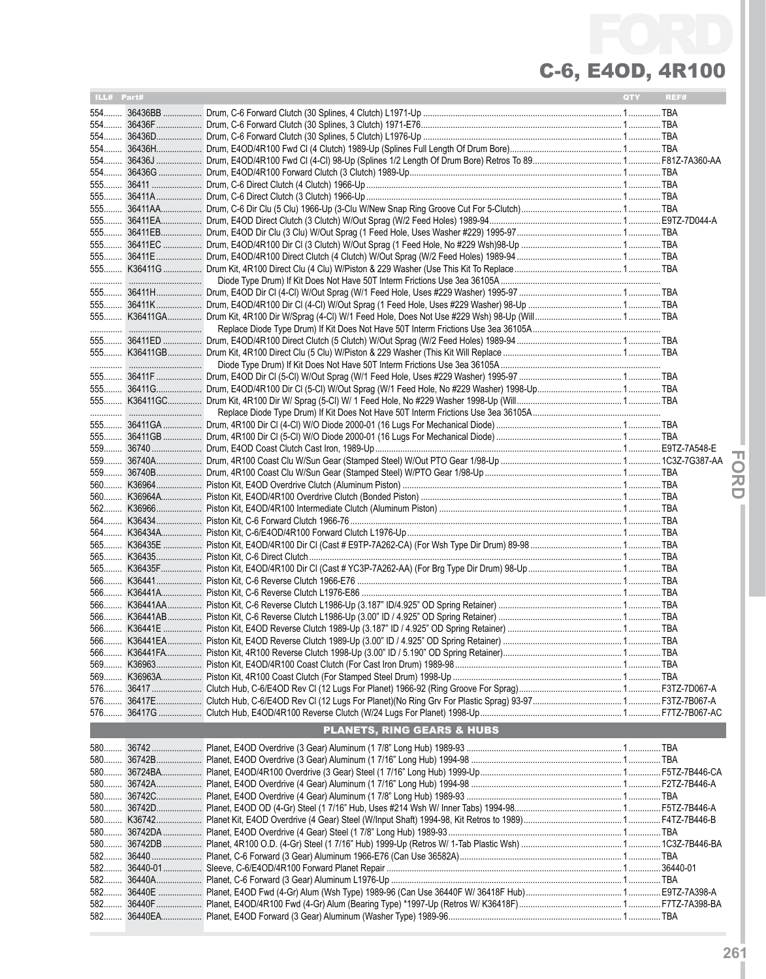| ILL# Part# |                                       | QTY | REF# |
|------------|---------------------------------------|-----|------|
|            |                                       |     |      |
|            |                                       |     |      |
|            |                                       |     |      |
|            |                                       |     |      |
|            |                                       |     |      |
| $554$      |                                       |     |      |
|            |                                       |     |      |
|            |                                       |     |      |
|            |                                       |     |      |
|            |                                       |     |      |
|            |                                       |     |      |
|            |                                       |     |      |
|            |                                       |     |      |
|            |                                       |     |      |
|            |                                       |     |      |
|            |                                       |     |      |
|            |                                       |     |      |
|            |                                       |     |      |
|            |                                       |     |      |
|            |                                       |     |      |
|            |                                       |     |      |
|            |                                       |     |      |
|            |                                       |     |      |
|            |                                       |     |      |
|            |                                       |     |      |
|            |                                       |     |      |
|            |                                       |     |      |
|            |                                       |     |      |
|            |                                       |     |      |
|            |                                       |     |      |
|            |                                       |     |      |
|            |                                       |     |      |
|            |                                       |     |      |
|            |                                       |     |      |
|            |                                       |     |      |
|            |                                       |     |      |
|            |                                       |     |      |
|            |                                       |     |      |
|            |                                       |     |      |
|            |                                       |     |      |
|            |                                       |     |      |
|            |                                       |     |      |
|            |                                       |     |      |
|            |                                       |     |      |
|            |                                       |     |      |
|            |                                       |     |      |
|            |                                       |     |      |
|            |                                       |     |      |
|            |                                       |     |      |
|            | <b>PLANETS, RING GEARS &amp; HUBS</b> |     |      |
|            |                                       |     |      |
|            |                                       |     |      |
|            |                                       |     |      |
|            |                                       |     |      |
|            |                                       |     |      |
|            |                                       |     |      |
|            |                                       |     |      |
|            |                                       |     |      |
|            |                                       |     |      |
|            |                                       |     |      |
|            |                                       |     |      |
|            |                                       |     |      |
| 582        |                                       |     |      |
|            |                                       |     |      |
| 582        |                                       |     |      |

**IFor**

**dI**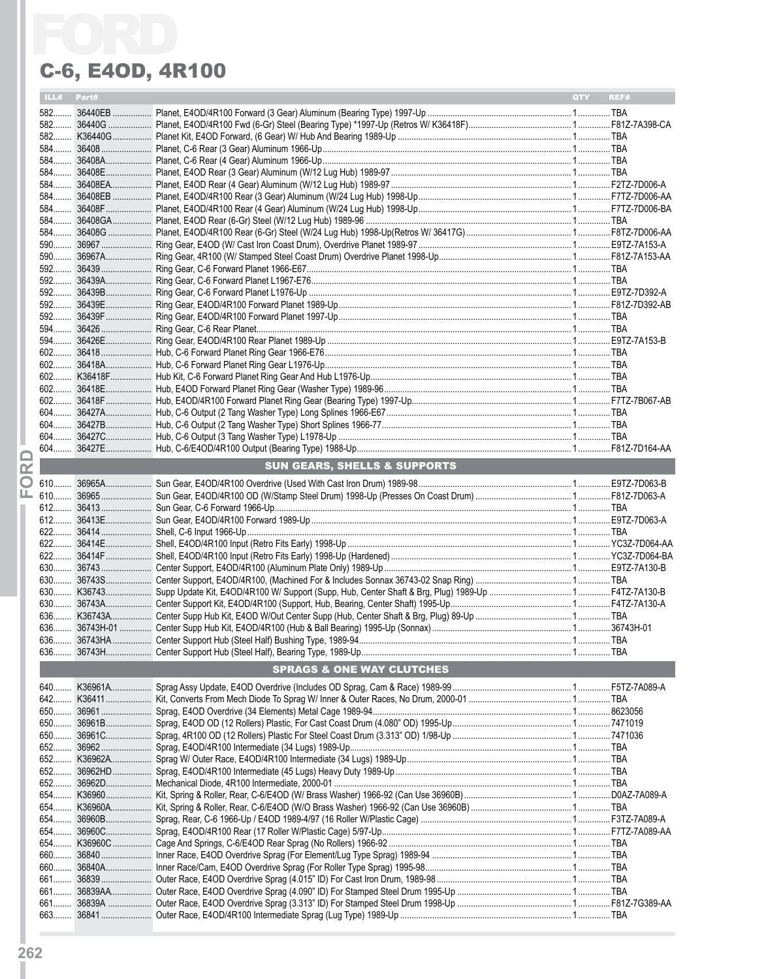|       |            | C-6, E40D, 4R100                        |                    |
|-------|------------|-----------------------------------------|--------------------|
|       | ILL# Part# |                                         | <b>OTY</b><br>REF# |
|       |            |                                         |                    |
|       |            |                                         |                    |
|       |            |                                         |                    |
|       |            |                                         |                    |
|       |            |                                         |                    |
|       |            |                                         |                    |
|       |            |                                         |                    |
|       |            |                                         |                    |
|       |            |                                         |                    |
|       |            |                                         |                    |
|       |            |                                         |                    |
|       |            |                                         |                    |
|       |            |                                         |                    |
|       |            |                                         |                    |
|       |            |                                         |                    |
|       |            |                                         |                    |
|       |            |                                         |                    |
|       |            |                                         |                    |
|       |            |                                         |                    |
|       |            |                                         |                    |
|       |            |                                         |                    |
|       |            |                                         |                    |
|       |            |                                         |                    |
|       |            |                                         |                    |
|       |            |                                         |                    |
|       |            |                                         |                    |
|       |            |                                         |                    |
|       |            | <b>SUN GEARS, SHELLS &amp; SUPPORTS</b> |                    |
|       |            |                                         |                    |
|       |            |                                         |                    |
|       |            |                                         |                    |
|       |            |                                         |                    |
|       |            |                                         |                    |
|       |            |                                         |                    |
|       |            |                                         |                    |
| $630$ |            |                                         |                    |
|       |            |                                         |                    |
|       |            |                                         |                    |
|       |            |                                         |                    |
|       |            |                                         |                    |
|       |            |                                         |                    |
|       |            |                                         |                    |
|       |            | <b>SPRAGS &amp; ONE WAY CLUTCHES</b>    |                    |
|       |            |                                         |                    |
|       |            |                                         |                    |
|       |            |                                         |                    |
|       |            |                                         |                    |
|       |            |                                         |                    |
|       |            |                                         |                    |
|       |            |                                         |                    |
|       |            |                                         |                    |
|       |            |                                         |                    |
|       |            |                                         |                    |
|       |            |                                         |                    |
|       |            |                                         |                    |
|       |            |                                         |                    |
|       |            |                                         |                    |
|       |            |                                         |                    |
|       |            |                                         |                    |
|       |            |                                         |                    |
|       |            |                                         |                    |
|       |            |                                         |                    |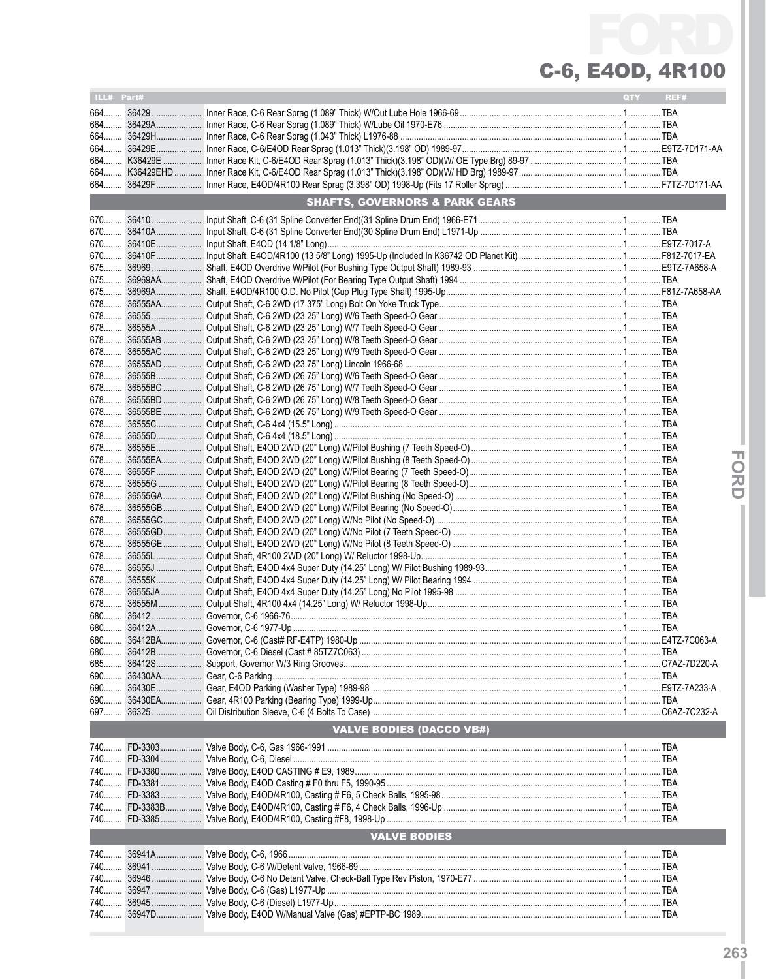| ILL# Part# |                                           | QTY | REF# |
|------------|-------------------------------------------|-----|------|
|            |                                           |     |      |
|            |                                           |     |      |
|            |                                           |     |      |
|            |                                           |     |      |
|            |                                           |     |      |
|            |                                           |     |      |
|            | <b>SHAFTS, GOVERNORS &amp; PARK GEARS</b> |     |      |
|            |                                           |     |      |
|            |                                           |     |      |
|            |                                           |     |      |
|            |                                           |     |      |
|            |                                           |     |      |
|            |                                           |     |      |
|            |                                           |     |      |
|            |                                           |     |      |
|            |                                           |     |      |
|            |                                           |     |      |
|            |                                           |     |      |
|            |                                           |     |      |
|            |                                           |     |      |
|            |                                           |     |      |
|            |                                           |     |      |
|            |                                           |     |      |
|            |                                           |     |      |
|            |                                           |     |      |
|            |                                           |     |      |
|            |                                           |     |      |
|            |                                           |     |      |
|            |                                           |     |      |
|            |                                           |     |      |
|            |                                           |     |      |
|            |                                           |     |      |
|            |                                           |     |      |
|            |                                           |     |      |
|            |                                           |     |      |
|            |                                           |     |      |
|            |                                           |     |      |
|            |                                           |     |      |
|            |                                           |     |      |
|            |                                           |     |      |
|            |                                           |     |      |
|            |                                           |     |      |
|            |                                           |     |      |
|            |                                           |     |      |
|            |                                           |     |      |
|            | <b>VALVE BODIES (DACCO VB#)</b>           |     |      |
|            |                                           |     |      |
|            |                                           |     |      |
|            |                                           |     |      |
|            |                                           |     |      |
|            |                                           |     |      |
|            |                                           |     |      |
|            | <b>VALVE BODIES</b>                       |     |      |
|            |                                           |     |      |
|            |                                           |     |      |
|            |                                           |     |      |
|            |                                           |     |      |
| 740        |                                           |     |      |
|            |                                           |     |      |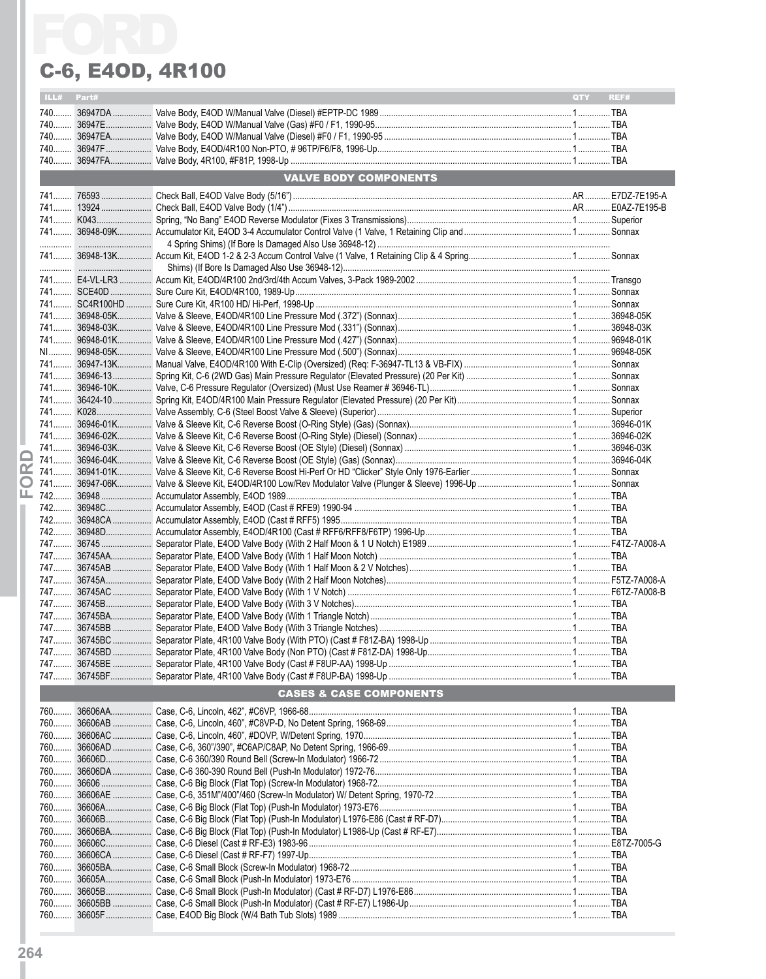|     |            | C-6, E40D, 4R100                   |            |      |
|-----|------------|------------------------------------|------------|------|
|     | ILL# Part# |                                    | <b>QTY</b> | REF# |
|     |            |                                    |            |      |
|     |            |                                    |            |      |
|     |            |                                    |            |      |
|     |            |                                    |            |      |
|     |            | VALVE BODY COMPONENTS              |            |      |
|     |            |                                    |            |      |
|     |            |                                    |            |      |
|     |            |                                    |            |      |
|     |            |                                    |            |      |
|     |            |                                    |            |      |
|     |            |                                    |            |      |
|     |            |                                    |            |      |
|     |            |                                    |            |      |
|     |            |                                    |            |      |
|     |            |                                    |            |      |
|     |            |                                    |            |      |
|     |            |                                    |            |      |
|     |            |                                    |            |      |
|     |            |                                    |            |      |
|     |            |                                    |            |      |
|     |            |                                    |            |      |
|     |            |                                    |            |      |
|     |            |                                    |            |      |
|     |            |                                    |            |      |
|     |            |                                    |            |      |
| œ   |            |                                    |            |      |
|     |            |                                    |            |      |
|     |            |                                    |            |      |
|     |            |                                    |            |      |
|     |            |                                    |            |      |
|     |            |                                    |            |      |
|     |            |                                    |            |      |
|     |            |                                    |            |      |
|     |            |                                    |            |      |
|     |            |                                    |            |      |
|     |            |                                    |            |      |
|     |            |                                    |            |      |
|     |            |                                    |            |      |
|     |            |                                    |            |      |
|     |            |                                    |            |      |
|     |            |                                    |            |      |
|     |            | <b>CASES &amp; CASE COMPONENTS</b> |            |      |
| 760 |            |                                    |            |      |
|     |            |                                    |            |      |
|     |            |                                    |            |      |
|     |            |                                    |            |      |
|     |            |                                    |            |      |
|     |            |                                    |            |      |
|     |            |                                    |            |      |
|     |            |                                    |            |      |
|     |            |                                    |            |      |
|     |            |                                    |            |      |
|     |            |                                    |            |      |
|     |            |                                    |            |      |
|     |            |                                    |            |      |
|     |            |                                    |            |      |
|     |            |                                    |            |      |
|     |            |                                    |            |      |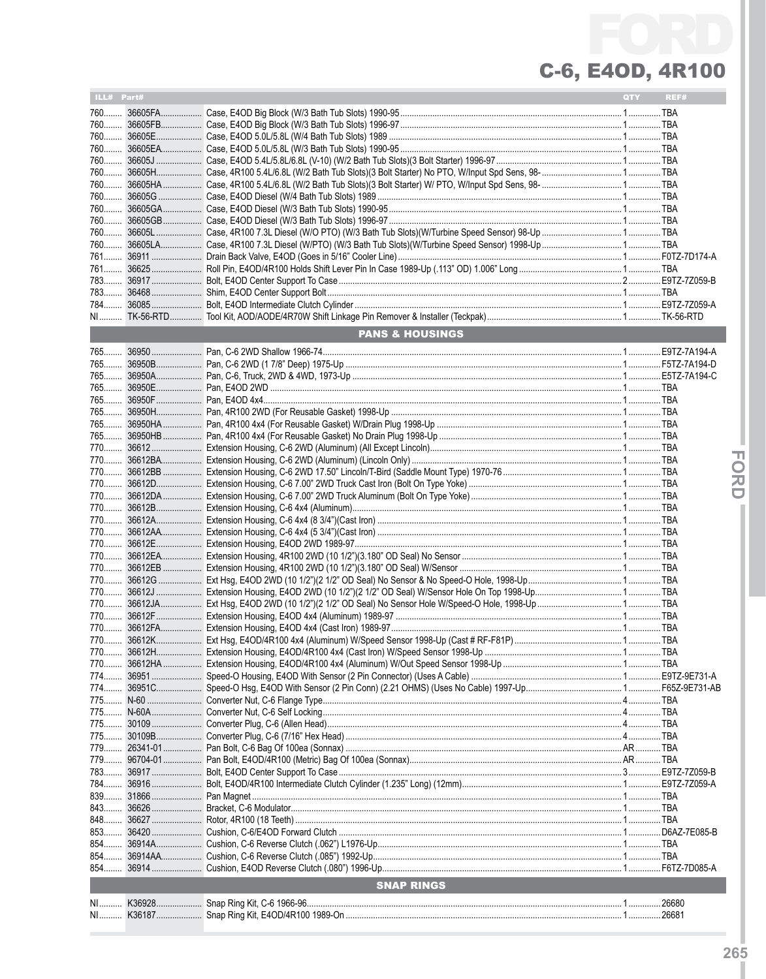| ILL# Part# |           |                            | QTY | REF# |
|------------|-----------|----------------------------|-----|------|
|            |           |                            |     |      |
|            |           |                            |     |      |
|            |           |                            |     |      |
|            |           |                            |     |      |
|            |           |                            |     |      |
|            |           |                            |     |      |
|            |           |                            |     |      |
|            |           |                            |     |      |
|            |           |                            |     |      |
|            |           |                            |     |      |
|            |           |                            |     |      |
|            |           |                            |     |      |
|            |           |                            |     |      |
|            |           |                            |     |      |
|            |           |                            |     |      |
|            |           |                            |     |      |
|            |           |                            |     |      |
|            |           |                            |     |      |
|            |           |                            |     |      |
|            |           |                            |     |      |
|            |           | <b>PANS &amp; HOUSINGS</b> |     |      |
|            |           |                            |     |      |
|            |           |                            |     |      |
|            |           |                            |     |      |
|            |           |                            |     |      |
|            |           |                            |     |      |
|            |           |                            |     |      |
|            |           |                            |     |      |
|            |           |                            |     |      |
|            |           |                            |     |      |
|            |           |                            |     |      |
|            |           |                            |     |      |
|            |           |                            |     |      |
|            |           |                            |     |      |
|            |           |                            |     |      |
|            |           |                            |     |      |
|            |           |                            |     |      |
|            |           |                            |     |      |
|            |           |                            |     |      |
|            |           |                            |     |      |
|            |           |                            |     |      |
|            |           |                            |     |      |
|            |           |                            |     |      |
|            |           |                            |     |      |
|            |           |                            |     |      |
|            |           |                            |     |      |
|            |           |                            |     |      |
|            |           |                            |     |      |
|            |           |                            |     |      |
|            |           |                            |     |      |
|            |           |                            |     |      |
|            |           |                            |     |      |
|            |           |                            |     |      |
|            |           |                            |     |      |
|            |           |                            |     |      |
|            |           |                            |     |      |
|            |           |                            |     |      |
|            |           |                            |     |      |
|            |           |                            |     |      |
|            |           |                            |     |      |
|            |           |                            |     |      |
|            |           |                            |     |      |
|            |           |                            |     |      |
|            |           |                            |     |      |
|            |           |                            |     |      |
|            |           |                            |     |      |
|            | 853 36420 |                            |     |      |
| 854        |           |                            |     |      |
|            |           |                            |     |      |
|            |           |                            |     |      |
|            |           | <b>SNAP RINGS</b>          |     |      |
|            |           |                            |     |      |
|            |           |                            |     |      |
|            |           |                            |     |      |

- FORD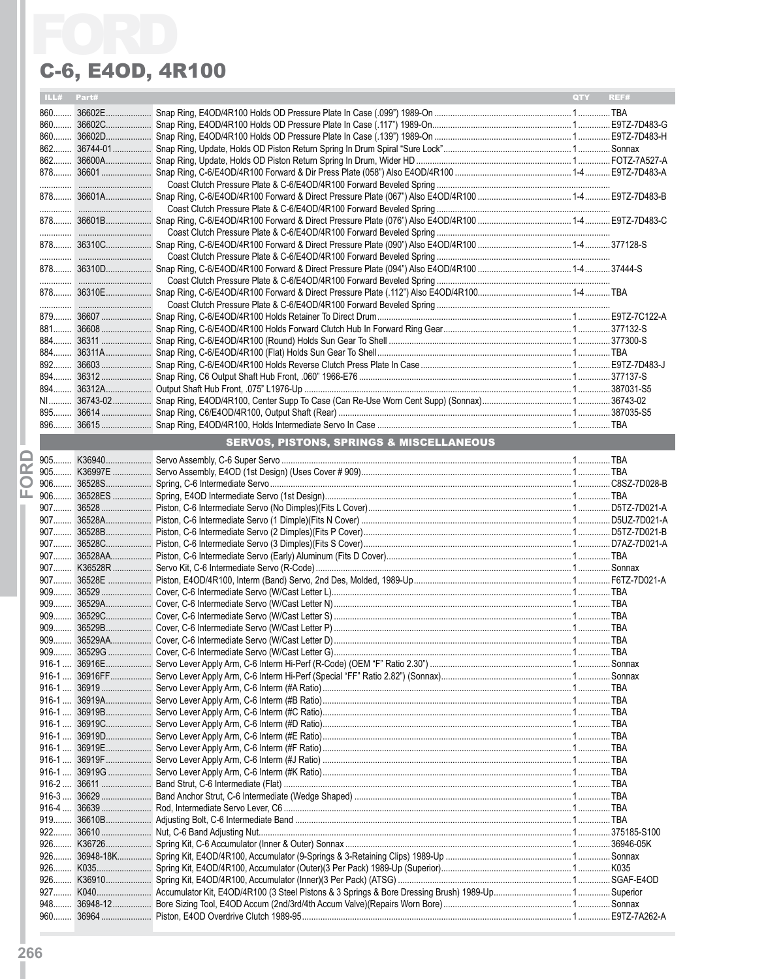|   |            | C-6, E40D, 4R100                                    |                    |
|---|------------|-----------------------------------------------------|--------------------|
|   | ILL# Part# |                                                     | <b>QTY</b><br>REF# |
|   |            |                                                     |                    |
|   |            |                                                     |                    |
|   |            |                                                     |                    |
|   |            |                                                     |                    |
|   |            |                                                     |                    |
|   |            |                                                     |                    |
|   |            |                                                     |                    |
|   |            |                                                     |                    |
|   |            |                                                     |                    |
|   |            |                                                     |                    |
|   |            |                                                     |                    |
|   |            |                                                     |                    |
|   |            |                                                     |                    |
|   |            |                                                     |                    |
|   |            |                                                     |                    |
|   |            |                                                     |                    |
|   |            |                                                     |                    |
|   |            |                                                     |                    |
|   |            |                                                     |                    |
|   |            |                                                     |                    |
|   |            |                                                     |                    |
|   |            |                                                     |                    |
|   |            |                                                     |                    |
|   |            |                                                     |                    |
|   |            |                                                     |                    |
|   |            | <b>SERVOS, PISTONS, SPRINGS &amp; MISCELLANEOUS</b> |                    |
|   |            |                                                     |                    |
| œ |            |                                                     |                    |
| O |            |                                                     |                    |
| ட |            |                                                     |                    |
|   |            |                                                     |                    |
|   |            |                                                     |                    |
|   |            |                                                     |                    |
|   |            |                                                     |                    |
|   |            |                                                     |                    |
|   |            |                                                     |                    |
|   |            |                                                     |                    |
|   |            |                                                     |                    |
|   |            |                                                     |                    |
|   |            |                                                     |                    |
|   |            |                                                     |                    |
|   |            |                                                     |                    |
|   |            |                                                     |                    |
|   |            |                                                     |                    |
|   |            |                                                     |                    |
|   |            |                                                     |                    |
|   |            |                                                     |                    |
|   |            |                                                     |                    |
|   |            |                                                     |                    |
|   |            |                                                     |                    |
|   |            |                                                     |                    |
|   |            |                                                     |                    |
|   |            |                                                     |                    |
|   |            |                                                     |                    |
|   |            |                                                     |                    |
|   |            |                                                     |                    |
|   |            |                                                     |                    |
|   |            |                                                     |                    |
|   |            |                                                     |                    |
|   |            |                                                     |                    |
|   |            |                                                     |                    |
|   |            |                                                     |                    |
|   |            |                                                     |                    |